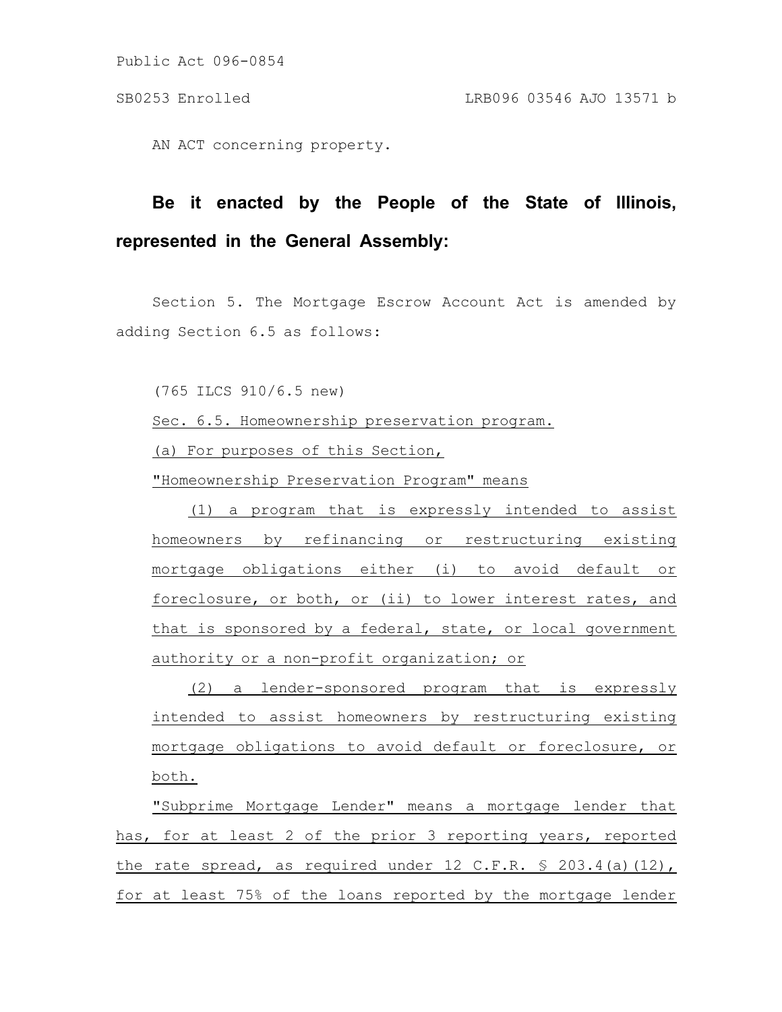Public Act 096-0854

AN ACT concerning property.

## **Be it enacted by the People of the State of Illinois, represented in the General Assembly:**

Section 5. The Mortgage Escrow Account Act is amended by adding Section 6.5 as follows:

(765 ILCS 910/6.5 new)

Sec. 6.5. Homeownership preservation program.

(a) For purposes of this Section,

"Homeownership Preservation Program" means

(1) a program that is expressly intended to assist homeowners by refinancing or restructuring existing mortgage obligations either (i) to avoid default or foreclosure, or both, or (ii) to lower interest rates, and that is sponsored by a federal, state, or local government authority or a non-profit organization; or

(2) a lender-sponsored program that is expressly intended to assist homeowners by restructuring existing mortgage obligations to avoid default or foreclosure, or both.

"Subprime Mortgage Lender" means a mortgage lender that has, for at least 2 of the prior 3 reporting years, reported the rate spread, as required under 12 C.F.R.  $\frac{1}{5}$  203.4(a)(12), for at least 75% of the loans reported by the mortgage lender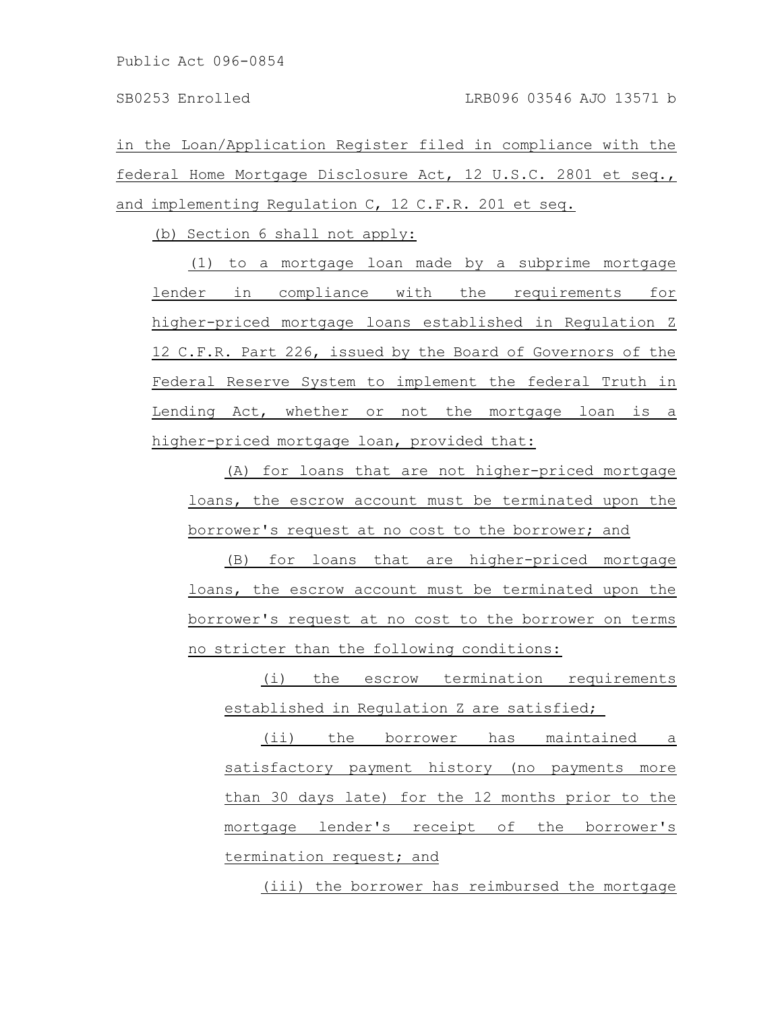Public Act 096-0854

in the Loan/Application Register filed in compliance with the federal Home Mortgage Disclosure Act, 12 U.S.C. 2801 et seq., and implementing Regulation C, 12 C.F.R. 201 et seq.

(b) Section 6 shall not apply:

(1) to a mortgage loan made by a subprime mortgage lender in compliance with the requirements for higher-priced mortgage loans established in Regulation Z 12 C.F.R. Part 226, issued by the Board of Governors of the Federal Reserve System to implement the federal Truth in Lending Act, whether or not the mortgage loan is a higher-priced mortgage loan, provided that:

(A) for loans that are not higher-priced mortgage loans, the escrow account must be terminated upon the borrower's request at no cost to the borrower; and

(B) for loans that are higher-priced mortgage loans, the escrow account must be terminated upon the borrower's request at no cost to the borrower on terms no stricter than the following conditions:

(i) the escrow termination requirements established in Regulation Z are satisfied;

(ii) the borrower has maintained a satisfactory payment history (no payments more than 30 days late) for the 12 months prior to the mortgage lender's receipt of the borrower's termination request; and

(iii) the borrower has reimbursed the mortgage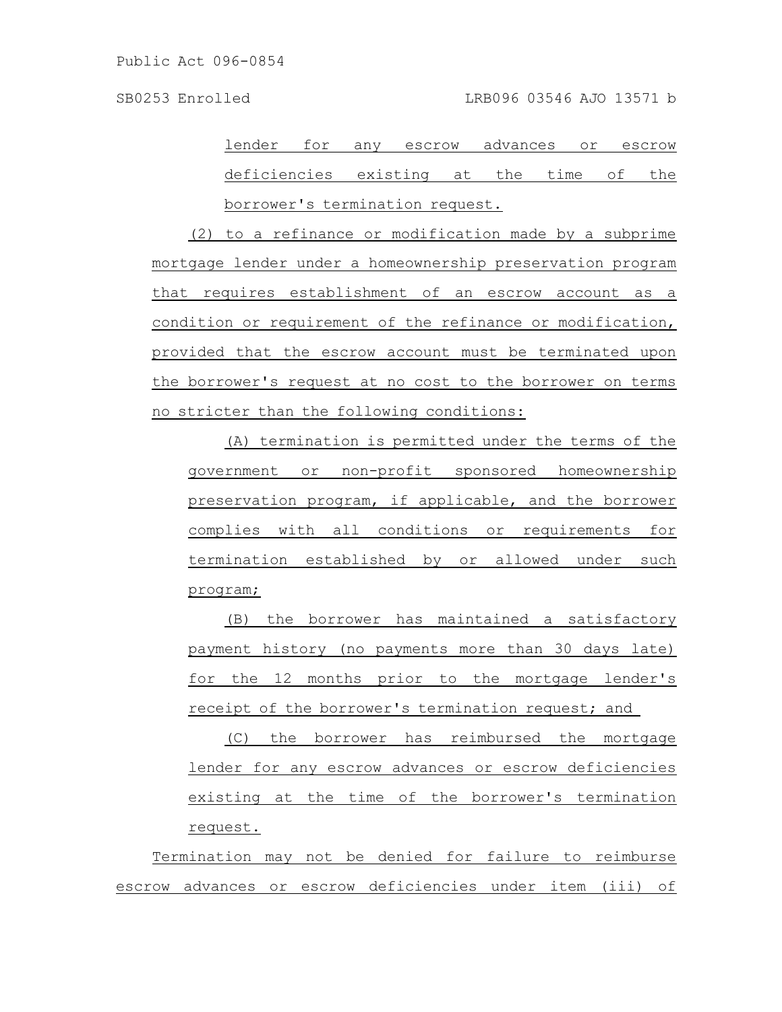lender for any escrow advances or escrow deficiencies existing at the time of the borrower's termination request.

(2) to a refinance or modification made by a subprime mortgage lender under a homeownership preservation program that requires establishment of an escrow account as a condition or requirement of the refinance or modification, provided that the escrow account must be terminated upon the borrower's request at no cost to the borrower on terms no stricter than the following conditions:

(A) termination is permitted under the terms of the government or non-profit sponsored homeownership preservation program, if applicable, and the borrower complies with all conditions or requirements for termination established by or allowed under such program;

(B) the borrower has maintained a satisfactory payment history (no payments more than 30 days late) for the 12 months prior to the mortgage lender's receipt of the borrower's termination request; and

(C) the borrower has reimbursed the mortgage lender for any escrow advances or escrow deficiencies existing at the time of the borrower's termination request.

Termination may not be denied for failure to reimburse escrow advances or escrow deficiencies under item (iii) of